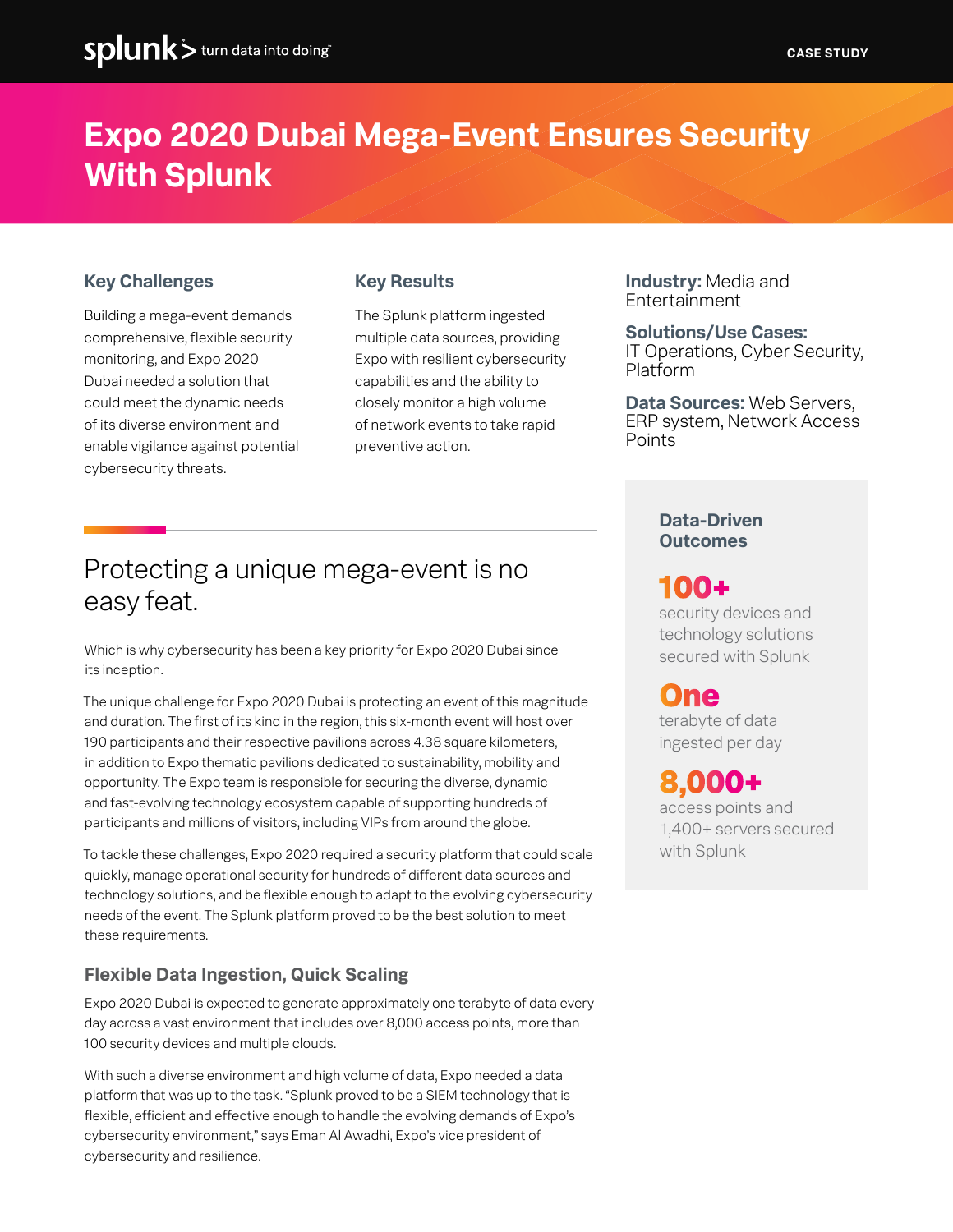# **Expo 2020 Dubai Mega-Event Ensures Security With Splunk**

## **Key Challenges**

Building a mega-event demands comprehensive, flexible security monitoring, and Expo 2020 Dubai needed a solution that could meet the dynamic needs of its diverse environment and enable vigilance against potential cybersecurity threats.

## **Key Results**

The Splunk platform ingested multiple data sources, providing Expo with resilient cybersecurity capabilities and the ability to closely monitor a high volume of network events to take rapid preventive action.

**Industry:** Media and Entertainment

#### **Solutions/Use Cases:**

IT Operations, Cyber Security, Platform

**Data Sources:** Web Servers, ERP system, Network Access Points

## Protecting a unique mega-event is no easy feat.

Which is why cybersecurity has been a key priority for Expo 2020 Dubai since its inception.

The unique challenge for Expo 2020 Dubai is protecting an event of this magnitude and duration. The first of its kind in the region, this six-month event will host over 190 participants and their respective pavilions across 4.38 square kilometers, in addition to Expo thematic pavilions dedicated to sustainability, mobility and opportunity. The Expo team is responsible for securing the diverse, dynamic and fast-evolving technology ecosystem capable of supporting hundreds of participants and millions of visitors, including VIPs from around the globe.

To tackle these challenges, Expo 2020 required a security platform that could scale quickly, manage operational security for hundreds of different data sources and technology solutions, and be flexible enough to adapt to the evolving cybersecurity needs of the event. The Splunk platform proved to be the best solution to meet these requirements.

## **Flexible Data Ingestion, Quick Scaling**

Expo 2020 Dubai is expected to generate approximately one terabyte of data every day across a vast environment that includes over 8,000 access points, more than 100 security devices and multiple clouds.

With such a diverse environment and high volume of data, Expo needed a data platform that was up to the task. "Splunk proved to be a SIEM technology that is flexible, efficient and effective enough to handle the evolving demands of Expo's cybersecurity environment," says Eman Al Awadhi, Expo's vice president of cybersecurity and resilience.

## **Data-Driven Outcomes**

## **100+**

security devices and technology solutions secured with Splunk

## **One**

terabyte of data ingested per day

## **8,000+**

access points and 1,400+ servers secured with Splunk